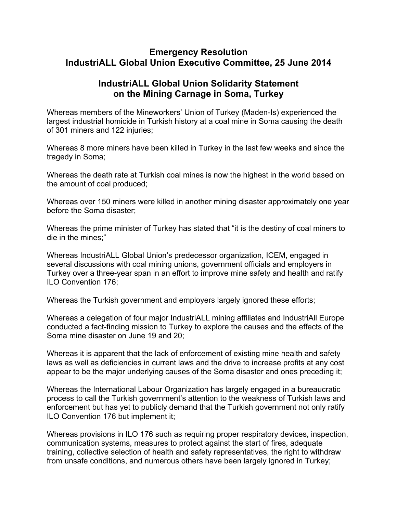## **Emergency Resolution IndustriALL Global Union Executive Committee, 25 June 2014**

## **IndustriALL Global Union Solidarity Statement on the Mining Carnage in Soma, Turkey**

Whereas members of the Mineworkers' Union of Turkey (Maden-Is) experienced the largest industrial homicide in Turkish history at a coal mine in Soma causing the death of 301 miners and 122 injuries;

Whereas 8 more miners have been killed in Turkey in the last few weeks and since the tragedy in Soma;

Whereas the death rate at Turkish coal mines is now the highest in the world based on the amount of coal produced;

Whereas over 150 miners were killed in another mining disaster approximately one year before the Soma disaster;

Whereas the prime minister of Turkey has stated that "it is the destiny of coal miners to die in the mines;"

Whereas IndustriALL Global Union's predecessor organization, ICEM, engaged in several discussions with coal mining unions, government officials and employers in Turkey over a three-year span in an effort to improve mine safety and health and ratify ILO Convention 176;

Whereas the Turkish government and employers largely ignored these efforts;

Whereas a delegation of four major IndustriALL mining affiliates and IndustriAll Europe conducted a fact-finding mission to Turkey to explore the causes and the effects of the Soma mine disaster on June 19 and 20;

Whereas it is apparent that the lack of enforcement of existing mine health and safety laws as well as deficiencies in current laws and the drive to increase profits at any cost appear to be the major underlying causes of the Soma disaster and ones preceding it;

Whereas the International Labour Organization has largely engaged in a bureaucratic process to call the Turkish government's attention to the weakness of Turkish laws and enforcement but has yet to publicly demand that the Turkish government not only ratify ILO Convention 176 but implement it;

Whereas provisions in ILO 176 such as requiring proper respiratory devices, inspection, communication systems, measures to protect against the start of fires, adequate training, collective selection of health and safety representatives, the right to withdraw from unsafe conditions, and numerous others have been largely ignored in Turkey;